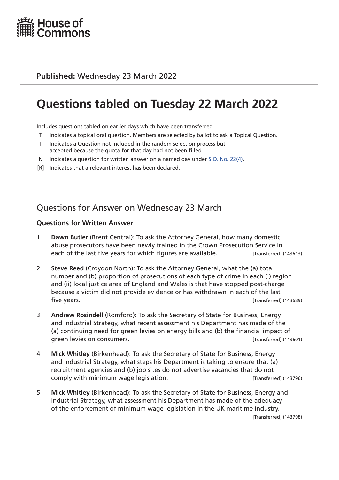

### **Published:** Wednesday 23 March 2022

# **Questions tabled on Tuesday 22 March 2022**

Includes questions tabled on earlier days which have been transferred.

- T Indicates a topical oral question. Members are selected by ballot to ask a Topical Question.
- † Indicates a Question not included in the random selection process but accepted because the quota for that day had not been filled.
- N Indicates a question for written answer on a named day under [S.O. No. 22\(4\)](http://publications.parliament.uk/pa/cm201719/cmstords/0004/body.html#22(4)).
- [R] Indicates that a relevant interest has been declared.

# Questions for Answer on Wednesday 23 March

- 1 **Dawn Butler** (Brent Central): To ask the Attorney General, how many domestic abuse prosecutors have been newly trained in the Crown Prosecution Service in each of the last five years for which figures are available. [Transferred] (143613)
- 2 **Steve Reed** (Croydon North): To ask the Attorney General, what the (a) total number and (b) proportion of prosecutions of each type of crime in each (i) region and (ii) local justice area of England and Wales is that have stopped post-charge because a victim did not provide evidence or has withdrawn in each of the last five years. [Transferred] (143689)
- 3 **Andrew Rosindell** (Romford): To ask the Secretary of State for Business, Energy and Industrial Strategy, what recent assessment his Department has made of the (a) continuing need for green levies on energy bills and (b) the financial impact of green levies on consumers. [Transferred] (143601)
- 4 **Mick Whitley** (Birkenhead): To ask the Secretary of State for Business, Energy and Industrial Strategy, what steps his Department is taking to ensure that (a) recruitment agencies and (b) job sites do not advertise vacancies that do not comply with minimum wage legislation. [Transferred] (143796)
- 5 **Mick Whitley** (Birkenhead): To ask the Secretary of State for Business, Energy and Industrial Strategy, what assessment his Department has made of the adequacy of the enforcement of minimum wage legislation in the UK maritime industry. [Transferred] (143798)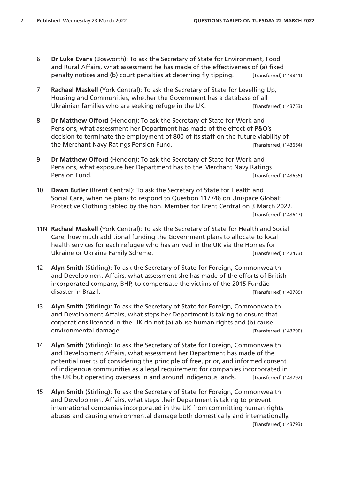- 6 **Dr Luke Evans** (Bosworth): To ask the Secretary of State for Environment, Food and Rural Affairs, what assessment he has made of the effectiveness of (a) fixed penalty notices and (b) court penalties at deterring fly tipping. [Transferred] (143811)
- 7 **Rachael Maskell** (York Central): To ask the Secretary of State for Levelling Up, Housing and Communities, whether the Government has a database of all Ukrainian families who are seeking refuge in the UK. [Transferred] (143753)
- 8 **Dr Matthew Offord** (Hendon): To ask the Secretary of State for Work and Pensions, what assessment her Department has made of the effect of P&O's decision to terminate the employment of 800 of its staff on the future viability of the Merchant Navy Ratings Pension Fund. The Merchant (143654)
- 9 **Dr Matthew Offord** (Hendon): To ask the Secretary of State for Work and Pensions, what exposure her Department has to the Merchant Navy Ratings Pension Fund. **Example 20 Pension Fund.** [Transferred] (143655)
- 10 **Dawn Butler** (Brent Central): To ask the Secretary of State for Health and Social Care, when he plans to respond to Question 117746 on Unispace Global: Protective Clothing tabled by the hon. Member for Brent Central on 3 March 2022. [Transferred] (143617)
- 11N **Rachael Maskell** (York Central): To ask the Secretary of State for Health and Social Care, how much additional funding the Government plans to allocate to local health services for each refugee who has arrived in the UK via the Homes for Ukraine or Ukraine Family Scheme.<br>
[Transferred] (142473)
- 12 **Alyn Smith** (Stirling): To ask the Secretary of State for Foreign, Commonwealth and Development Affairs, what assessment she has made of the efforts of British incorporated company, BHP, to compensate the victims of the 2015 Fundão disaster in Brazil. **Example 20** and the set of the set of the set of the set of the set of the set of the set of the set of the set of the set of the set of the set of the set of the set of the set of the set of the set o
- 13 **Alyn Smith** (Stirling): To ask the Secretary of State for Foreign, Commonwealth and Development Affairs, what steps her Department is taking to ensure that corporations licenced in the UK do not (a) abuse human rights and (b) cause environmental damage. **Example 20 and 20 and 20 and 20 and 20 and 20 and 20 and 20 and 20 and 20 and 20 and 20 and 20 and 20 and 20 and 20 and 20 and 20 and 20 and 20 and 20 and 20 and 20 and 20 and 20 and 20 and 20 and 20**
- 14 **Alyn Smith** (Stirling): To ask the Secretary of State for Foreign, Commonwealth and Development Affairs, what assessment her Department has made of the potential merits of considering the principle of free, prior, and informed consent of indigenous communities as a legal requirement for companies incorporated in the UK but operating overseas in and around indigenous lands. [Transferred] (143792)
- 15 **Alyn Smith** (Stirling): To ask the Secretary of State for Foreign, Commonwealth and Development Affairs, what steps their Department is taking to prevent international companies incorporated in the UK from committing human rights abuses and causing environmental damage both domestically and internationally. [Transferred] (143793)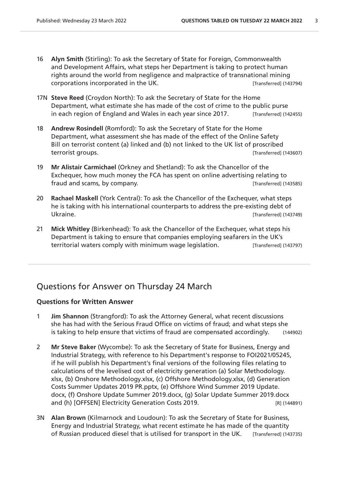- 16 **Alyn Smith** (Stirling): To ask the Secretary of State for Foreign, Commonwealth and Development Affairs, what steps her Department is taking to protect human rights around the world from negligence and malpractice of transnational mining corporations incorporated in the UK. [Transferred] (143794)
- 17N **Steve Reed** (Croydon North): To ask the Secretary of State for the Home Department, what estimate she has made of the cost of crime to the public purse in each region of England and Wales in each year since 2017. [Transferred] (142455)
- 18 **Andrew Rosindell** (Romford): To ask the Secretary of State for the Home Department, what assessment she has made of the effect of the Online Safety Bill on terrorist content (a) linked and (b) not linked to the UK list of proscribed terrorist groups. [Transferred] (143607)
- 19 **Mr Alistair Carmichael** (Orkney and Shetland): To ask the Chancellor of the Exchequer, how much money the FCA has spent on online advertising relating to fraud and scams, by company. The same state of the set of the set of the set of the set of the set of the set of the set of the set of the set of the set of the set of the set of the set of the set of the set of the set of
- 20 **Rachael Maskell** (York Central): To ask the Chancellor of the Exchequer, what steps he is taking with his international counterparts to address the pre-existing debt of Ukraine. [Transferred] (143749)
- 21 **Mick Whitley** (Birkenhead): To ask the Chancellor of the Exchequer, what steps his Department is taking to ensure that companies employing seafarers in the UK's territorial waters comply with minimum wage legislation. [Transferred] (143797)

## Questions for Answer on Thursday 24 March

- 1 **Jim Shannon** (Strangford): To ask the Attorney General, what recent discussions she has had with the Serious Fraud Office on victims of fraud; and what steps she is taking to help ensure that victims of fraud are compensated accordingly. (144902)
- 2 **Mr Steve Baker** (Wycombe): To ask the Secretary of State for Business, Energy and Industrial Strategy, with reference to his Department's response to FOI2021/05245, if he will publish his Department's final versions of the following files relating to calculations of the levelised cost of electricity generation (a) Solar Methodology. xlsx, (b) Onshore Methodology.xlsx, (c) Offshore Methodology.xlsx, (d) Generation Costs Summer Updates 2019 PR.pptx, (e) Offshore Wind Summer 2019 Update. docx, (f) Onshore Update Summer 2019.docx, (g) Solar Update Summer 2019.docx and (h) [OFFSEN] Electricity Generation Costs 2019. [R] (144891)
- 3N **Alan Brown** (Kilmarnock and Loudoun): To ask the Secretary of State for Business, Energy and Industrial Strategy, what recent estimate he has made of the quantity of Russian produced diesel that is utilised for transport in the UK. [Transferred] (143735)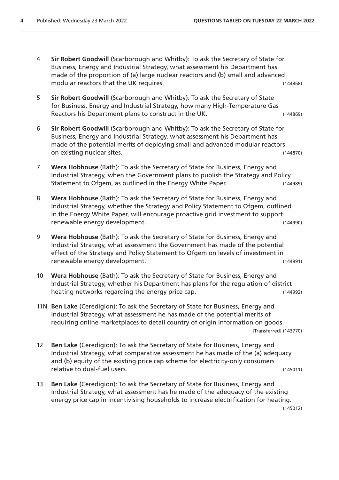- 4 **Sir Robert Goodwill** (Scarborough and Whitby): To ask the Secretary of State for Business, Energy and Industrial Strategy, what assessment his Department has made of the proportion of (a) large nuclear reactors and (b) small and advanced modular reactors that the UK requires. (144868)
- 5 **Sir Robert Goodwill** (Scarborough and Whitby): To ask the Secretary of State for Business, Energy and Industrial Strategy, how many High-Temperature Gas Reactors his Department plans to construct in the UK. (144869)
- 6 **Sir Robert Goodwill** (Scarborough and Whitby): To ask the Secretary of State for Business, Energy and Industrial Strategy, what assessment his Department has made of the potential merits of deploying small and advanced modular reactors on existing nuclear sites. (144870)
- 7 **Wera Hobhouse** (Bath): To ask the Secretary of State for Business, Energy and Industrial Strategy, when the Government plans to publish the Strategy and Policy Statement to Ofgem, as outlined in the Energy White Paper. (144989)
- 8 **Wera Hobhouse** (Bath): To ask the Secretary of State for Business, Energy and Industrial Strategy, whether the Strategy and Policy Statement to Ofgem, outlined in the Energy White Paper, will encourage proactive grid investment to support renewable energy development. (144990)
- 9 **Wera Hobhouse** (Bath): To ask the Secretary of State for Business, Energy and Industrial Strategy, what assessment the Government has made of the potential effect of the Strategy and Policy Statement to Ofgem on levels of investment in renewable energy development. (144991)
- 10 **Wera Hobhouse** (Bath): To ask the Secretary of State for Business, Energy and Industrial Strategy, whether his Department has plans for the regulation of district heating networks regarding the energy price cap. The energy is a state of the energy price cap.
- 11N **Ben Lake** (Ceredigion): To ask the Secretary of State for Business, Energy and Industrial Strategy, what assessment he has made of the potential merits of requiring online marketplaces to detail country of origin information on goods. [Transferred] (143770)
- 12 **Ben Lake** (Ceredigion): To ask the Secretary of State for Business, Energy and Industrial Strategy, what comparative assessment he has made of the (a) adequacy and (b) equity of the existing price cap scheme for electricity-only consumers relative to dual-fuel users. (145011)
- 13 **Ben Lake** (Ceredigion): To ask the Secretary of State for Business, Energy and Industrial Strategy, what assessment has he made of the adequacy of the existing energy price cap in incentivising households to increase electrification for heating.

(145012)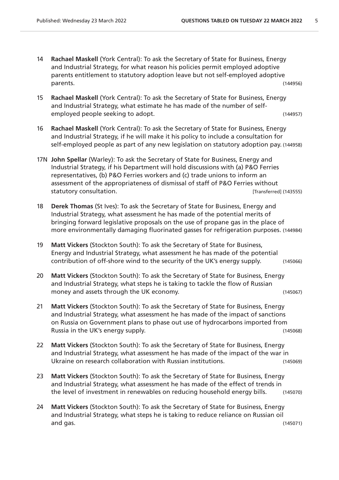- 14 **Rachael Maskell** (York Central): To ask the Secretary of State for Business, Energy and Industrial Strategy, for what reason his policies permit employed adoptive parents entitlement to statutory adoption leave but not self-employed adoptive parents. (144956)
- 15 **Rachael Maskell** (York Central): To ask the Secretary of State for Business, Energy and Industrial Strategy, what estimate he has made of the number of selfemployed people seeking to adopt. (144957)
- 16 **Rachael Maskell** (York Central): To ask the Secretary of State for Business, Energy and Industrial Strategy, if he will make it his policy to include a consultation for self-employed people as part of any new legislation on statutory adoption pay. (144958)
- 17N **John Spellar** (Warley): To ask the Secretary of State for Business, Energy and Industrial Strategy, if his Department will hold discussions with (a) P&O Ferries representatives, (b) P&O Ferries workers and (c) trade unions to inform an assessment of the appropriateness of dismissal of staff of P&O Ferries without statutory consultation. The statutory consultation.
- 18 **Derek Thomas** (St Ives): To ask the Secretary of State for Business, Energy and Industrial Strategy, what assessment he has made of the potential merits of bringing forward legislative proposals on the use of propane gas in the place of more environmentally damaging fluorinated gasses for refrigeration purposes. (144984)
- 19 **Matt Vickers** (Stockton South): To ask the Secretary of State for Business, Energy and Industrial Strategy, what assessment he has made of the potential contribution of off-shore wind to the security of the UK's energy supply. (145066)
- 20 **Matt Vickers** (Stockton South): To ask the Secretary of State for Business, Energy and Industrial Strategy, what steps he is taking to tackle the flow of Russian money and assets through the UK economy. (145067)
- 21 **Matt Vickers** (Stockton South): To ask the Secretary of State for Business, Energy and Industrial Strategy, what assessment he has made of the impact of sanctions on Russia on Government plans to phase out use of hydrocarbons imported from Russia in the UK's energy supply. The same state of the control of the control of the control of the control of the control of the control of the control of the control of the control of the control of the control of the c
- 22 **Matt Vickers** (Stockton South): To ask the Secretary of State for Business, Energy and Industrial Strategy, what assessment he has made of the impact of the war in Ukraine on research collaboration with Russian institutions. (145069)
- 23 **Matt Vickers** (Stockton South): To ask the Secretary of State for Business, Energy and Industrial Strategy, what assessment he has made of the effect of trends in the level of investment in renewables on reducing household energy bills. (145070)
- 24 **Matt Vickers** (Stockton South): To ask the Secretary of State for Business, Energy and Industrial Strategy, what steps he is taking to reduce reliance on Russian oil and gas. (145071)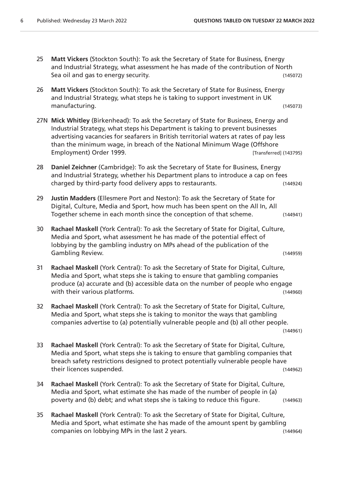- 25 **Matt Vickers** (Stockton South): To ask the Secretary of State for Business, Energy and Industrial Strategy, what assessment he has made of the contribution of North Sea oil and gas to energy security. The security of the second security of the second security of the second security.
- 26 **Matt Vickers** (Stockton South): To ask the Secretary of State for Business, Energy and Industrial Strategy, what steps he is taking to support investment in UK manufacturing. (145073)
- 27N **Mick Whitley** (Birkenhead): To ask the Secretary of State for Business, Energy and Industrial Strategy, what steps his Department is taking to prevent businesses advertising vacancies for seafarers in British territorial waters at rates of pay less than the minimum wage, in breach of the National Minimum Wage (Offshore Employment) Order 1999. **Employment** (143795)
- 28 **Daniel Zeichner** (Cambridge): To ask the Secretary of State for Business, Energy and Industrial Strategy, whether his Department plans to introduce a cap on fees charged by third-party food delivery apps to restaurants. (144924)
- 29 **Justin Madders** (Ellesmere Port and Neston): To ask the Secretary of State for Digital, Culture, Media and Sport, how much has been spent on the All In, All Together scheme in each month since the conception of that scheme. (144941)
- 30 **Rachael Maskell** (York Central): To ask the Secretary of State for Digital, Culture, Media and Sport, what assessment he has made of the potential effect of lobbying by the gambling industry on MPs ahead of the publication of the Gambling Review. (144959)
- 31 **Rachael Maskell** (York Central): To ask the Secretary of State for Digital, Culture, Media and Sport, what steps she is taking to ensure that gambling companies produce (a) accurate and (b) accessible data on the number of people who engage with their various platforms. The contract of the contract of the contract of the contract of the contract of the contract of the contract of the contract of the contract of the contract of the contract of the contract of
- 32 **Rachael Maskell** (York Central): To ask the Secretary of State for Digital, Culture, Media and Sport, what steps she is taking to monitor the ways that gambling companies advertise to (a) potentially vulnerable people and (b) all other people. (144961)
- 33 **Rachael Maskell** (York Central): To ask the Secretary of State for Digital, Culture, Media and Sport, what steps she is taking to ensure that gambling companies that breach safety restrictions designed to protect potentially vulnerable people have their licences suspended. (144962)
- 34 **Rachael Maskell** (York Central): To ask the Secretary of State for Digital, Culture, Media and Sport, what estimate she has made of the number of people in (a) poverty and (b) debt; and what steps she is taking to reduce this figure. (144963)
- 35 **Rachael Maskell** (York Central): To ask the Secretary of State for Digital, Culture, Media and Sport, what estimate she has made of the amount spent by gambling companies on lobbying MPs in the last 2 years. (144964)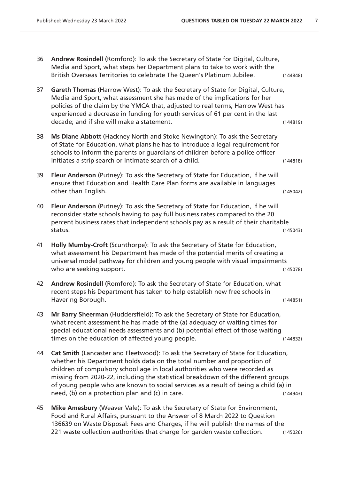- 36 **Andrew Rosindell** (Romford): To ask the Secretary of State for Digital, Culture, Media and Sport, what steps her Department plans to take to work with the British Overseas Territories to celebrate The Queen's Platinum Jubilee. (144848)
- 37 **Gareth Thomas** (Harrow West): To ask the Secretary of State for Digital, Culture, Media and Sport, what assessment she has made of the implications for her policies of the claim by the YMCA that, adjusted to real terms, Harrow West has experienced a decrease in funding for youth services of 61 per cent in the last decade; and if she will make a statement. (144819)
- 38 **Ms Diane Abbott** (Hackney North and Stoke Newington): To ask the Secretary of State for Education, what plans he has to introduce a legal requirement for schools to inform the parents or guardians of children before a police officer initiates a strip search or intimate search of a child. (144818)
- 39 **Fleur Anderson** (Putney): To ask the Secretary of State for Education, if he will ensure that Education and Health Care Plan forms are available in languages other than English. (145042)
- 40 **Fleur Anderson** (Putney): To ask the Secretary of State for Education, if he will reconsider state schools having to pay full business rates compared to the 20 percent business rates that independent schools pay as a result of their charitable status. (145043)
- 41 **Holly Mumby-Croft** (Scunthorpe): To ask the Secretary of State for Education, what assessment his Department has made of the potential merits of creating a universal model pathway for children and young people with visual impairments who are seeking support. The same support of the set of the seeking support of the set of the set of the set of the set of the set of the set of the set of the set of the set of the set of the set of the set of the set of
- 42 **Andrew Rosindell** (Romford): To ask the Secretary of State for Education, what recent steps his Department has taken to help establish new free schools in Havering Borough. (144851)
- 43 **Mr Barry Sheerman** (Huddersfield): To ask the Secretary of State for Education, what recent assessment he has made of the (a) adequacy of waiting times for special educational needs assessments and (b) potential effect of those waiting times on the education of affected young people. (144832)
- 44 **Cat Smith** (Lancaster and Fleetwood): To ask the Secretary of State for Education, whether his Department holds data on the total number and proportion of children of compulsory school age in local authorities who were recorded as missing from 2020-22, including the statistical breakdown of the different groups of young people who are known to social services as a result of being a child (a) in need, (b) on a protection plan and (c) in care. (144943)
- 45 **Mike Amesbury** (Weaver Vale): To ask the Secretary of State for Environment, Food and Rural Affairs, pursuant to the Answer of 8 March 2022 to Question 136639 on Waste Disposal: Fees and Charges, if he will publish the names of the 221 waste collection authorities that charge for garden waste collection. (145026)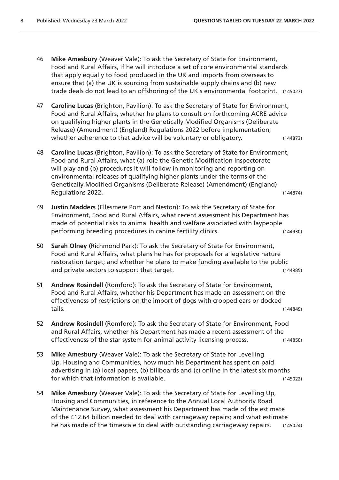- 46 **Mike Amesbury** (Weaver Vale): To ask the Secretary of State for Environment, Food and Rural Affairs, if he will introduce a set of core environmental standards that apply equally to food produced in the UK and imports from overseas to ensure that (a) the UK is sourcing from sustainable supply chains and (b) new trade deals do not lead to an offshoring of the UK's environmental footprint. (145027)
- 47 **Caroline Lucas** (Brighton, Pavilion): To ask the Secretary of State for Environment, Food and Rural Affairs, whether he plans to consult on forthcoming ACRE advice on qualifying higher plants in the Genetically Modified Organisms (Deliberate Release) (Amendment) (England) Regulations 2022 before implementation; whether adherence to that advice will be voluntary or obligatory. (144873)
- 48 **Caroline Lucas** (Brighton, Pavilion): To ask the Secretary of State for Environment, Food and Rural Affairs, what (a) role the Genetic Modification Inspectorate will play and (b) procedures it will follow in monitoring and reporting on environmental releases of qualifying higher plants under the terms of the Genetically Modified Organisms (Deliberate Release) (Amendment) (England) Regulations 2022. (144874)
- 49 **Justin Madders** (Ellesmere Port and Neston): To ask the Secretary of State for Environment, Food and Rural Affairs, what recent assessment his Department has made of potential risks to animal health and welfare associated with laypeople performing breeding procedures in canine fertility clinics. (144930)
- 50 **Sarah Olney** (Richmond Park): To ask the Secretary of State for Environment, Food and Rural Affairs, what plans he has for proposals for a legislative nature restoration target; and whether he plans to make funding available to the public and private sectors to support that target. (144985)
- 51 **Andrew Rosindell** (Romford): To ask the Secretary of State for Environment, Food and Rural Affairs, whether his Department has made an assessment on the effectiveness of restrictions on the import of dogs with cropped ears or docked tails. (144849)
- 52 **Andrew Rosindell** (Romford): To ask the Secretary of State for Environment, Food and Rural Affairs, whether his Department has made a recent assessment of the effectiveness of the star system for animal activity licensing process. (144850)
- 53 **Mike Amesbury** (Weaver Vale): To ask the Secretary of State for Levelling Up, Housing and Communities, how much his Department has spent on paid advertising in (a) local papers, (b) billboards and (c) online in the latest six months for which that information is available. (145022)
- 54 **Mike Amesbury** (Weaver Vale): To ask the Secretary of State for Levelling Up, Housing and Communities, in reference to the Annual Local Authority Road Maintenance Survey, what assessment his Department has made of the estimate of the £12.64 billion needed to deal with carriageway repairs; and what estimate he has made of the timescale to deal with outstanding carriageway repairs. (145024)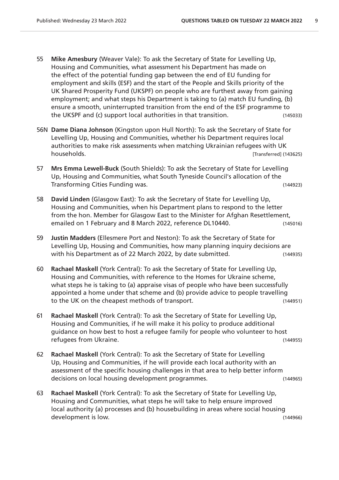- 55 **Mike Amesbury** (Weaver Vale): To ask the Secretary of State for Levelling Up, Housing and Communities, what assessment his Department has made on the effect of the potential funding gap between the end of EU funding for employment and skills (ESF) and the start of the People and Skills priority of the UK Shared Prosperity Fund (UKSPF) on people who are furthest away from gaining employment; and what steps his Department is taking to (a) match EU funding, (b) ensure a smooth, uninterrupted transition from the end of the ESF programme to the UKSPF and (c) support local authorities in that transition. (145033)
- 56N **Dame Diana Johnson** (Kingston upon Hull North): To ask the Secretary of State for Levelling Up, Housing and Communities, whether his Department requires local authorities to make risk assessments when matching Ukrainian refugees with UK households. [Transferred] (143625)
- 57 **Mrs Emma Lewell-Buck** (South Shields): To ask the Secretary of State for Levelling Up, Housing and Communities, what South Tyneside Council's allocation of the Transforming Cities Funding was. (144923)
- 58 **David Linden** (Glasgow East): To ask the Secretary of State for Levelling Up, Housing and Communities, when his Department plans to respond to the letter from the hon. Member for Glasgow East to the Minister for Afghan Resettlement, emailed on 1 February and 8 March 2022, reference DL10440. (145016)
- 59 **Justin Madders** (Ellesmere Port and Neston): To ask the Secretary of State for Levelling Up, Housing and Communities, how many planning inquiry decisions are with his Department as of 22 March 2022, by date submitted. (144935)
- 60 **Rachael Maskell** (York Central): To ask the Secretary of State for Levelling Up, Housing and Communities, with reference to the Homes for Ukraine scheme, what steps he is taking to (a) appraise visas of people who have been successfully appointed a home under that scheme and (b) provide advice to people travelling to the UK on the cheapest methods of transport. (144951)
- 61 **Rachael Maskell** (York Central): To ask the Secretary of State for Levelling Up, Housing and Communities, if he will make it his policy to produce additional guidance on how best to host a refugee family for people who volunteer to host refugees from Ukraine. (144955)
- 62 **Rachael Maskell** (York Central): To ask the Secretary of State for Levelling Up, Housing and Communities, if he will provide each local authority with an assessment of the specific housing challenges in that area to help better inform decisions on local housing development programmes. (144965)
- 63 **Rachael Maskell** (York Central): To ask the Secretary of State for Levelling Up, Housing and Communities, what steps he will take to help ensure improved local authority (a) processes and (b) housebuilding in areas where social housing development is low. (144966)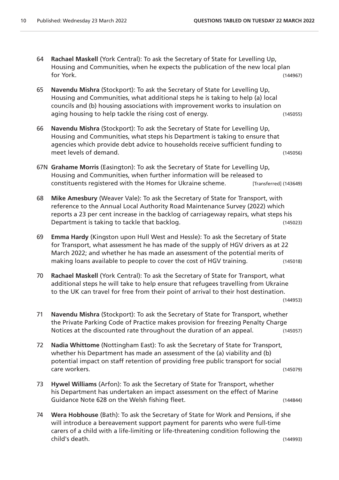- 64 **Rachael Maskell** (York Central): To ask the Secretary of State for Levelling Up, Housing and Communities, when he expects the publication of the new local plan for York. (144967)
- 65 **Navendu Mishra** (Stockport): To ask the Secretary of State for Levelling Up, Housing and Communities, what additional steps he is taking to help (a) local councils and (b) housing associations with improvement works to insulation on aging housing to help tackle the rising cost of energy. (145055)
- 66 **Navendu Mishra** (Stockport): To ask the Secretary of State for Levelling Up, Housing and Communities, what steps his Department is taking to ensure that agencies which provide debt advice to households receive sufficient funding to meet levels of demand. (145056)
- 67N **Grahame Morris** (Easington): To ask the Secretary of State for Levelling Up, Housing and Communities, when further information will be released to constituents registered with the Homes for Ukraine scheme. [Transferred] (143649)
- 68 **Mike Amesbury** (Weaver Vale): To ask the Secretary of State for Transport, with reference to the Annual Local Authority Road Maintenance Survey (2022) which reports a 23 per cent increase in the backlog of carriageway repairs, what steps his Department is taking to tackle that backlog. (145023)
- 69 **Emma Hardy** (Kingston upon Hull West and Hessle): To ask the Secretary of State for Transport, what assessment he has made of the supply of HGV drivers as at 22 March 2022; and whether he has made an assessment of the potential merits of making loans available to people to cover the cost of HGV training. (145018)
- 70 **Rachael Maskell** (York Central): To ask the Secretary of State for Transport, what additional steps he will take to help ensure that refugees travelling from Ukraine to the UK can travel for free from their point of arrival to their host destination.

(144953)

- 71 **Navendu Mishra** (Stockport): To ask the Secretary of State for Transport, whether the Private Parking Code of Practice makes provision for freezing Penalty Charge Notices at the discounted rate throughout the duration of an appeal. (145057)
- 72 **Nadia Whittome** (Nottingham East): To ask the Secretary of State for Transport, whether his Department has made an assessment of the (a) viability and (b) potential impact on staff retention of providing free public transport for social care workers. (145079)
- 73 **Hywel Williams** (Arfon): To ask the Secretary of State for Transport, whether his Department has undertaken an impact assessment on the effect of Marine Guidance Note 628 on the Welsh fishing fleet. The Contract of the Change of the Change of the Change of the Ch
- 74 **Wera Hobhouse** (Bath): To ask the Secretary of State for Work and Pensions, if she will introduce a bereavement support payment for parents who were full-time carers of a child with a life-limiting or life-threatening condition following the child's death. (144993)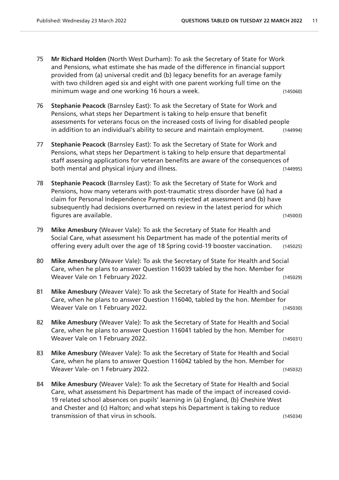- 75 **Mr Richard Holden** (North West Durham): To ask the Secretary of State for Work and Pensions, what estimate she has made of the difference in financial support provided from (a) universal credit and (b) legacy benefits for an average family with two children aged six and eight with one parent working full time on the minimum wage and one working 16 hours a week. (145060)
- 76 **Stephanie Peacock** (Barnsley East): To ask the Secretary of State for Work and Pensions, what steps her Department is taking to help ensure that benefit assessments for veterans focus on the increased costs of living for disabled people in addition to an individual's ability to secure and maintain employment. (144994)
- 77 **Stephanie Peacock** (Barnsley East): To ask the Secretary of State for Work and Pensions, what steps her Department is taking to help ensure that departmental staff assessing applications for veteran benefits are aware of the consequences of both mental and physical injury and illness. (144995)
- 78 **Stephanie Peacock** (Barnsley East): To ask the Secretary of State for Work and Pensions, how many veterans with post-traumatic stress disorder have (a) had a claim for Personal Independence Payments rejected at assessment and (b) have subsequently had decisions overturned on review in the latest period for which figures are available. (145003)
- 79 **Mike Amesbury** (Weaver Vale): To ask the Secretary of State for Health and Social Care, what assessment his Department has made of the potential merits of offering every adult over the age of 18 Spring covid-19 booster vaccination. (145025)
- 80 **Mike Amesbury** (Weaver Vale): To ask the Secretary of State for Health and Social Care, when he plans to answer Question 116039 tabled by the hon. Member for Weaver Vale on 1 February 2022. (145029)
- 81 **Mike Amesbury** (Weaver Vale): To ask the Secretary of State for Health and Social Care, when he plans to answer Question 116040, tabled by the hon. Member for Weaver Vale on 1 February 2022. (145030)
- 82 **Mike Amesbury** (Weaver Vale): To ask the Secretary of State for Health and Social Care, when he plans to answer Question 116041 tabled by the hon. Member for Weaver Vale on 1 February 2022. (145031)
- 83 **Mike Amesbury** (Weaver Vale): To ask the Secretary of State for Health and Social Care, when he plans to answer Question 116042 tabled by the hon. Member for Weaver Vale- on 1 February 2022.
- 84 **Mike Amesbury** (Weaver Vale): To ask the Secretary of State for Health and Social Care, what assessment his Department has made of the impact of increased covid-19 related school absences on pupils' learning in (a) England, (b) Cheshire West and Chester and (c) Halton; and what steps his Department is taking to reduce transmission of that virus in schools. (145034)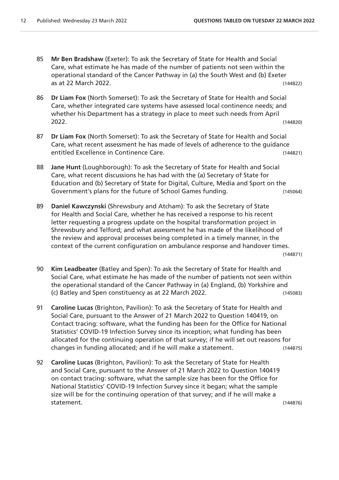- 85 **Mr Ben Bradshaw** (Exeter): To ask the Secretary of State for Health and Social Care, what estimate he has made of the number of patients not seen within the operational standard of the Cancer Pathway in (a) the South West and (b) Exeter as at 22 March 2022. (144822)
- 86 **Dr Liam Fox** (North Somerset): To ask the Secretary of State for Health and Social Care, whether integrated care systems have assessed local continence needs; and whether his Department has a strategy in place to meet such needs from April 2022. (144820)
- 87 **Dr Liam Fox** (North Somerset): To ask the Secretary of State for Health and Social Care, what recent assessment he has made of levels of adherence to the guidance entitled Excellence in Continence Care. (144821)
- 88 **Jane Hunt** (Loughborough): To ask the Secretary of State for Health and Social Care, what recent discussions he has had with the (a) Secretary of State for Education and (b) Secretary of State for Digital, Culture, Media and Sport on the Government's plans for the future of School Games funding. (145064)
- 89 **Daniel Kawczynski** (Shrewsbury and Atcham): To ask the Secretary of State for Health and Social Care, whether he has received a response to his recent letter requesting a progress update on the hospital transformation project in Shrewsbury and Telford; and what assessment he has made of the likelihood of the review and approval processes being completed in a timely manner, in the context of the current configuration on ambulance response and handover times.

(144871)

- 90 **Kim Leadbeater** (Batley and Spen): To ask the Secretary of State for Health and Social Care, what estimate he has made of the number of patients not seen within the operational standard of the Cancer Pathway in (a) England, (b) Yorkshire and (c) Batley and Spen constituency as at 22 March 2022. (145083)
- 91 **Caroline Lucas** (Brighton, Pavilion): To ask the Secretary of State for Health and Social Care, pursuant to the Answer of 21 March 2022 to Question 140419, on Contact tracing: software, what the funding has been for the Office for National Statistics' COVID-19 Infection Survey since its inception; what funding has been allocated for the continuing operation of that survey; if he will set out reasons for changes in funding allocated; and if he will make a statement. (144875)
- 92 **Caroline Lucas** (Brighton, Pavilion): To ask the Secretary of State for Health and Social Care, pursuant to the Answer of 21 March 2022 to Question 140419 on contact tracing: software, what the sample size has been for the Office for National Statistics' COVID-19 Infection Survey since it began; what the sample size will be for the continuing operation of that survey; and if he will make a statement. (144876)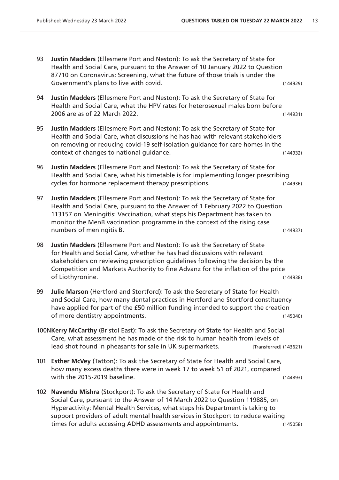- 93 **Justin Madders** (Ellesmere Port and Neston): To ask the Secretary of State for Health and Social Care, pursuant to the Answer of 10 January 2022 to Question 87710 on Coronavirus: Screening, what the future of those trials is under the Government's plans to live with covid. The covid control of the covid cover and covid cover (144929)
- 94 **Justin Madders** (Ellesmere Port and Neston): To ask the Secretary of State for Health and Social Care, what the HPV rates for heterosexual males born before 2006 are as of 22 March 2022. (144931)
- 95 **Justin Madders** (Ellesmere Port and Neston): To ask the Secretary of State for Health and Social Care, what discussions he has had with relevant stakeholders on removing or reducing covid-19 self-isolation guidance for care homes in the context of changes to national guidance. (144932)
- 96 **Justin Madders** (Ellesmere Port and Neston): To ask the Secretary of State for Health and Social Care, what his timetable is for implementing longer prescribing cycles for hormone replacement therapy prescriptions. (144936)
- 97 **Justin Madders** (Ellesmere Port and Neston): To ask the Secretary of State for Health and Social Care, pursuant to the Answer of 1 February 2022 to Question 113157 on Meningitis: Vaccination, what steps his Department has taken to monitor the MenB vaccination programme in the context of the rising case numbers of meningitis B. (144937)
- 98 **Justin Madders** (Ellesmere Port and Neston): To ask the Secretary of State for Health and Social Care, whether he has had discussions with relevant stakeholders on reviewing prescription guidelines following the decision by the Competition and Markets Authority to fine Advanz for the inflation of the price of Liothyronine. (144938)
- 99 **Julie Marson** (Hertford and Stortford): To ask the Secretary of State for Health and Social Care, how many dental practices in Hertford and Stortford constituency have applied for part of the £50 million funding intended to support the creation of more dentistry appointments. (145040)
- 100N**Kerry McCarthy** (Bristol East): To ask the Secretary of State for Health and Social Care, what assessment he has made of the risk to human health from levels of lead shot found in pheasants for sale in UK supermarkets. [Transferred] (143621)
- 101 **Esther McVey** (Tatton): To ask the Secretary of State for Health and Social Care, how many excess deaths there were in week 17 to week 51 of 2021, compared with the 2015-2019 baseline. (144893)
- 102 **Navendu Mishra** (Stockport): To ask the Secretary of State for Health and Social Care, pursuant to the Answer of 14 March 2022 to Question 119885, on Hyperactivity: Mental Health Services, what steps his Department is taking to support providers of adult mental health services in Stockport to reduce waiting times for adults accessing ADHD assessments and appointments. (145058)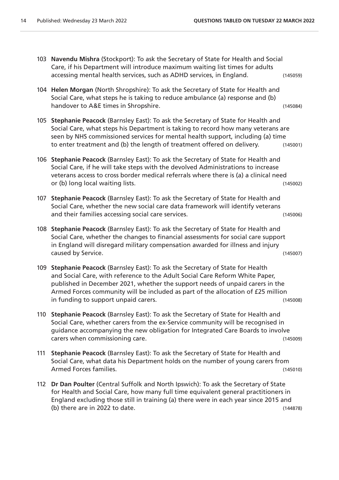- 103 **Navendu Mishra** (Stockport): To ask the Secretary of State for Health and Social Care, if his Department will introduce maximum waiting list times for adults accessing mental health services, such as ADHD services, in England. (145059)
- 104 **Helen Morgan** (North Shropshire): To ask the Secretary of State for Health and Social Care, what steps he is taking to reduce ambulance (a) response and (b) handover to A&E times in Shropshire. (145084)
- 105 **Stephanie Peacock** (Barnsley East): To ask the Secretary of State for Health and Social Care, what steps his Department is taking to record how many veterans are seen by NHS commissioned services for mental health support, including (a) time to enter treatment and (b) the length of treatment offered on delivery. (145001)
- 106 **Stephanie Peacock** (Barnsley East): To ask the Secretary of State for Health and Social Care, if he will take steps with the devolved Administrations to increase veterans access to cross border medical referrals where there is (a) a clinical need or (b) long local waiting lists. (145002)
- 107 **Stephanie Peacock** (Barnsley East): To ask the Secretary of State for Health and Social Care, whether the new social care data framework will identify veterans and their families accessing social care services. (145006)
- 108 **Stephanie Peacock** (Barnsley East): To ask the Secretary of State for Health and Social Care, whether the changes to financial assessments for social care support in England will disregard military compensation awarded for illness and injury caused by Service. (145007)
- 109 **Stephanie Peacock** (Barnsley East): To ask the Secretary of State for Health and Social Care, with reference to the Adult Social Care Reform White Paper, published in December 2021, whether the support needs of unpaid carers in the Armed Forces community will be included as part of the allocation of £25 million in funding to support unpaid carers. (145008)
- 110 **Stephanie Peacock** (Barnsley East): To ask the Secretary of State for Health and Social Care, whether carers from the ex-Service community will be recognised in guidance accompanying the new obligation for Integrated Care Boards to involve carers when commissioning care. (145009)
- 111 **Stephanie Peacock** (Barnsley East): To ask the Secretary of State for Health and Social Care, what data his Department holds on the number of young carers from Armed Forces families. (145010)
- 112 **Dr Dan Poulter** (Central Suffolk and North Ipswich): To ask the Secretary of State for Health and Social Care, how many full time equivalent general practitioners in England excluding those still in training (a) there were in each year since 2015 and (b) there are in 2022 to date. (144878)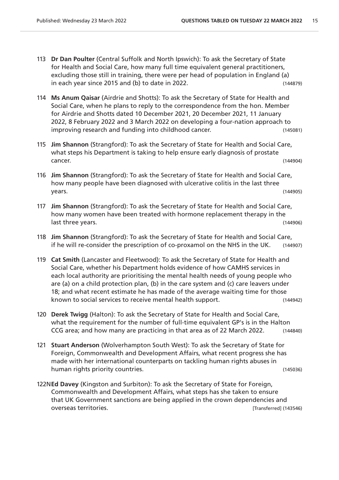- 113 **Dr Dan Poulter** (Central Suffolk and North Ipswich): To ask the Secretary of State for Health and Social Care, how many full time equivalent general practitioners, excluding those still in training, there were per head of population in England (a) in each year since 2015 and (b) to date in 2022. (144879)
- 114 **Ms Anum Qaisar** (Airdrie and Shotts): To ask the Secretary of State for Health and Social Care, when he plans to reply to the correspondence from the hon. Member for Airdrie and Shotts dated 10 December 2021, 20 December 2021, 11 January 2022, 8 February 2022 and 3 March 2022 on developing a four-nation approach to improving research and funding into childhood cancer. (145081)
- 115 **Jim Shannon** (Strangford): To ask the Secretary of State for Health and Social Care, what steps his Department is taking to help ensure early diagnosis of prostate cancer. (144904)
- 116 **Jim Shannon** (Strangford): To ask the Secretary of State for Health and Social Care, how many people have been diagnosed with ulcerative colitis in the last three years. (144905)
- 117 **Jim Shannon** (Strangford): To ask the Secretary of State for Health and Social Care, how many women have been treated with hormone replacement therapy in the last three years. (144906)
- 118 **Jim Shannon** (Strangford): To ask the Secretary of State for Health and Social Care, if he will re-consider the prescription of co-proxamol on the NHS in the UK. (144907)
- 119 **Cat Smith** (Lancaster and Fleetwood): To ask the Secretary of State for Health and Social Care, whether his Department holds evidence of how CAMHS services in each local authority are prioritising the mental health needs of young people who are (a) on a child protection plan, (b) in the care system and (c) care leavers under 18; and what recent estimate he has made of the average waiting time for those known to social services to receive mental health support. (144942)
- 120 **Derek Twigg** (Halton): To ask the Secretary of State for Health and Social Care, what the requirement for the number of full-time equivalent GP's is in the Halton CCG area; and how many are practicing in that area as of 22 March 2022. (144840)
- 121 **Stuart Anderson** (Wolverhampton South West): To ask the Secretary of State for Foreign, Commonwealth and Development Affairs, what recent progress she has made with her international counterparts on tackling human rights abuses in human rights priority countries. The same state of the state of the state (145036)
- 122N**Ed Davey** (Kingston and Surbiton): To ask the Secretary of State for Foreign, Commonwealth and Development Affairs, what steps has she taken to ensure that UK Government sanctions are being applied in the crown dependencies and overseas territories. [Transferred] (143546)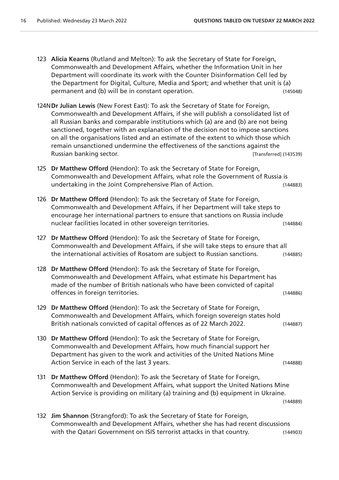(144889)

- 123 **Alicia Kearns** (Rutland and Melton): To ask the Secretary of State for Foreign, Commonwealth and Development Affairs, whether the Information Unit in her Department will coordinate its work with the Counter Disinformation Cell led by the Department for Digital, Culture, Media and Sport; and whether that unit is (a) permanent and (b) will be in constant operation. (145048)
- 124N**Dr Julian Lewis** (New Forest East): To ask the Secretary of State for Foreign, Commonwealth and Development Affairs, if she will publish a consolidated list of all Russian banks and comparable institutions which (a) are and (b) are not being sanctioned, together with an explanation of the decision not to impose sanctions on all the organisations listed and an estimate of the extent to which those which remain unsanctioned undermine the effectiveness of the sanctions against the Russian banking sector. The contract of the contract of the contract of the contract of the contract of the contract of the contract of the contract of the contract of the contract of the contract of the contract of the co
- 125 **Dr Matthew Offord** (Hendon): To ask the Secretary of State for Foreign, Commonwealth and Development Affairs, what role the Government of Russia is undertaking in the Joint Comprehensive Plan of Action. (144883)
- 126 **Dr Matthew Offord** (Hendon): To ask the Secretary of State for Foreign, Commonwealth and Development Affairs, if her Department will take steps to encourage her international partners to ensure that sanctions on Russia include nuclear facilities located in other sovereign territories. (144884)
- 127 **Dr Matthew Offord** (Hendon): To ask the Secretary of State for Foreign, Commonwealth and Development Affairs, if she will take steps to ensure that all the international activities of Rosatom are subject to Russian sanctions. (144885)
- 128 **Dr Matthew Offord** (Hendon): To ask the Secretary of State for Foreign, Commonwealth and Development Affairs, what estimate his Department has made of the number of British nationals who have been convicted of capital offences in foreign territories. (144886)
- 129 **Dr Matthew Offord** (Hendon): To ask the Secretary of State for Foreign, Commonwealth and Development Affairs, which foreign sovereign states hold British nationals convicted of capital offences as of 22 March 2022. (144887)
- 130 **Dr Matthew Offord** (Hendon): To ask the Secretary of State for Foreign, Commonwealth and Development Affairs, how much financial support her Department has given to the work and activities of the United Nations Mine Action Service in each of the last 3 years. The service of the last 3 years.
- 131 **Dr Matthew Offord** (Hendon): To ask the Secretary of State for Foreign, Commonwealth and Development Affairs, what support the United Nations Mine Action Service is providing on military (a) training and (b) equipment in Ukraine.

132 **Jim Shannon** (Strangford): To ask the Secretary of State for Foreign, Commonwealth and Development Affairs, whether she has had recent discussions with the Qatari Government on ISIS terrorist attacks in that country. (144903)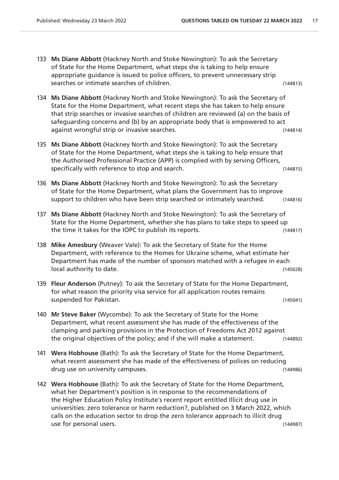- 133 **Ms Diane Abbott** (Hackney North and Stoke Newington): To ask the Secretary of State for the Home Department, what steps she is taking to help ensure appropriate guidance is issued to police officers, to prevent unnecessary strip searches or intimate searches of children. (144813)
- 134 **Ms Diane Abbott** (Hackney North and Stoke Newington): To ask the Secretary of State for the Home Department, what recent steps she has taken to help ensure that strip searches or invasive searches of children are reviewed (a) on the basis of safeguarding concerns and (b) by an appropriate body that is empowered to act against wrongful strip or invasive searches. (144814)
- 135 **Ms Diane Abbott** (Hackney North and Stoke Newington): To ask the Secretary of State for the Home Department, what steps she is taking to help ensure that the Authorised Professional Practice (APP) is complied with by serving Officers, specifically with reference to stop and search. (144815)
- 136 **Ms Diane Abbott** (Hackney North and Stoke Newington): To ask the Secretary of State for the Home Department, what plans the Government has to improve support to children who have been strip searched or intimately searched. (144816)
- 137 **Ms Diane Abbott** (Hackney North and Stoke Newington): To ask the Secretary of State for the Home Department, whether she has plans to take steps to speed up the time it takes for the IOPC to publish its reports. (144817)
- 138 **Mike Amesbury** (Weaver Vale): To ask the Secretary of State for the Home Department, with reference to the Homes for Ukraine scheme, what estimate her Department has made of the number of sponsors matched with a refugee in each local authority to date. (145028)
- 139 **Fleur Anderson** (Putney): To ask the Secretary of State for the Home Department, for what reason the priority visa service for all application routes remains suspended for Pakistan. (145041)
- 140 **Mr Steve Baker** (Wycombe): To ask the Secretary of State for the Home Department, what recent assessment she has made of the effectiveness of the clamping and parking provisions in the Protection of Freedoms Act 2012 against the original objectives of the policy; and if she will make a statement. (144892)
- 141 **Wera Hobhouse** (Bath): To ask the Secretary of State for the Home Department, what recent assessment she has made of the effectiveness of polices on reducing drug use on university campuses. (144986)
- 142 **Wera Hobhouse** (Bath): To ask the Secretary of State for the Home Department, what her Department's position is in response to the recommendations of the Higher Education Policy Institute's recent report entitled Illicit drug use in universities: zero tolerance or harm reduction?, published on 3 March 2022, which calls on the education sector to drop the zero tolerance approach to illicit drug use for personal users. (144987)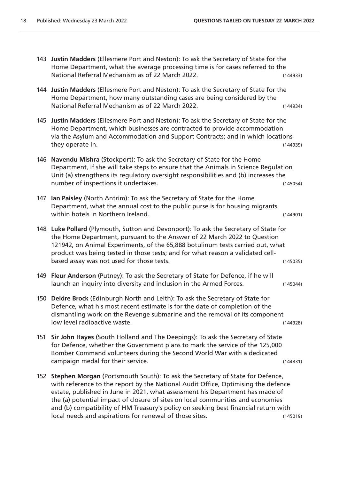- 143 **Justin Madders** (Ellesmere Port and Neston): To ask the Secretary of State for the Home Department, what the average processing time is for cases referred to the National Referral Mechanism as of 22 March 2022. (144933)
- 144 **Justin Madders** (Ellesmere Port and Neston): To ask the Secretary of State for the Home Department, how many outstanding cases are being considered by the National Referral Mechanism as of 22 March 2022. (144934)
- 145 **Justin Madders** (Ellesmere Port and Neston): To ask the Secretary of State for the Home Department, which businesses are contracted to provide accommodation via the Asylum and Accommodation and Support Contracts; and in which locations they operate in. (144939)
- 146 **Navendu Mishra** (Stockport): To ask the Secretary of State for the Home Department, if she will take steps to ensure that the Animals in Science Regulation Unit (a) strengthens its regulatory oversight responsibilities and (b) increases the number of inspections it undertakes. (145054)
- 147 **Ian Paisley** (North Antrim): To ask the Secretary of State for the Home Department, what the annual cost to the public purse is for housing migrants within hotels in Northern Ireland. The control of the control of the control of the control of the control of the control of the control of the control of the control of the control of the control of the control of the con
- 148 **Luke Pollard** (Plymouth, Sutton and Devonport): To ask the Secretary of State for the Home Department, pursuant to the Answer of 22 March 2022 to Question 121942, on Animal Experiments, of the 65,888 botulinum tests carried out, what product was being tested in those tests; and for what reason a validated cellbased assay was not used for those tests. (145035)
- 149 **Fleur Anderson** (Putney): To ask the Secretary of State for Defence, if he will launch an inquiry into diversity and inclusion in the Armed Forces. (145044)
- 150 **Deidre Brock** (Edinburgh North and Leith): To ask the Secretary of State for Defence, what his most recent estimate is for the date of completion of the dismantling work on the Revenge submarine and the removal of its component low level radioactive waste. (144928)
- 151 **Sir John Hayes** (South Holland and The Deepings): To ask the Secretary of State for Defence, whether the Government plans to mark the service of the 125,000 Bomber Command volunteers during the Second World War with a dedicated campaign medal for their service. (144831)
- 152 **Stephen Morgan** (Portsmouth South): To ask the Secretary of State for Defence, with reference to the report by the National Audit Office, Optimising the defence estate, published in June in 2021, what assessment his Department has made of the (a) potential impact of closure of sites on local communities and economies and (b) compatibility of HM Treasury's policy on seeking best financial return with local needs and aspirations for renewal of those sites. (145019)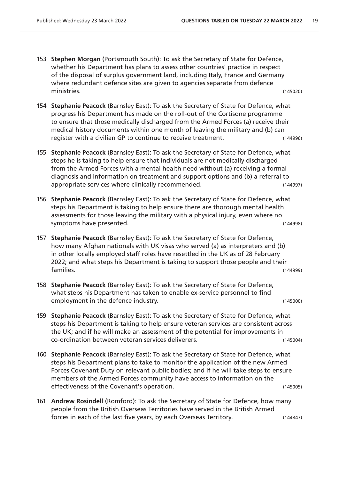- 153 **Stephen Morgan** (Portsmouth South): To ask the Secretary of State for Defence, whether his Department has plans to assess other countries' practice in respect of the disposal of surplus government land, including Italy, France and Germany where redundant defence sites are given to agencies separate from defence ministries. (145020)
- 154 **Stephanie Peacock** (Barnsley East): To ask the Secretary of State for Defence, what progress his Department has made on the roll-out of the Cortisone programme to ensure that those medically discharged from the Armed Forces (a) receive their medical history documents within one month of leaving the military and (b) can register with a civilian GP to continue to receive treatment. (144996)
- 155 **Stephanie Peacock** (Barnsley East): To ask the Secretary of State for Defence, what steps he is taking to help ensure that individuals are not medically discharged from the Armed Forces with a mental health need without (a) receiving a formal diagnosis and information on treatment and support options and (b) a referral to appropriate services where clinically recommended. (144997)
- 156 **Stephanie Peacock** (Barnsley East): To ask the Secretary of State for Defence, what steps his Department is taking to help ensure there are thorough mental health assessments for those leaving the military with a physical injury, even where no symptoms have presented. (144998)
- 157 **Stephanie Peacock** (Barnsley East): To ask the Secretary of State for Defence, how many Afghan nationals with UK visas who served (a) as interpreters and (b) in other locally employed staff roles have resettled in the UK as of 28 February 2022; and what steps his Department is taking to support those people and their families. (144999)
- 158 **Stephanie Peacock** (Barnsley East): To ask the Secretary of State for Defence, what steps his Department has taken to enable ex-service personnel to find employment in the defence industry. The same of the same of the same of the same of the same of the same of the same of the same of the same of the same of the same of the same of the same of the same of the same of the sa
- 159 **Stephanie Peacock** (Barnsley East): To ask the Secretary of State for Defence, what steps his Department is taking to help ensure veteran services are consistent across the UK; and if he will make an assessment of the potential for improvements in co-ordination between veteran services deliverers. (145004)
- 160 **Stephanie Peacock** (Barnsley East): To ask the Secretary of State for Defence, what steps his Department plans to take to monitor the application of the new Armed Forces Covenant Duty on relevant public bodies; and if he will take steps to ensure members of the Armed Forces community have access to information on the effectiveness of the Covenant's operation. (145005)
- 161 **Andrew Rosindell** (Romford): To ask the Secretary of State for Defence, how many people from the British Overseas Territories have served in the British Armed forces in each of the last five years, by each Overseas Territory. (144847)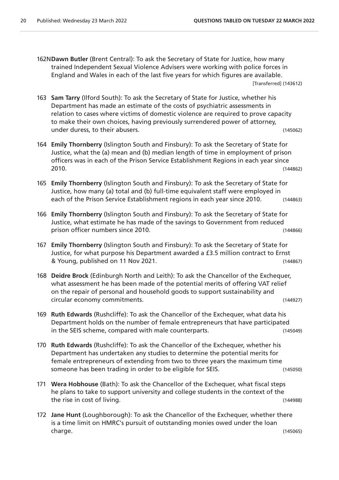- 162N**Dawn Butler** (Brent Central): To ask the Secretary of State for Justice, how many trained Independent Sexual Violence Advisers were working with police forces in England and Wales in each of the last five years for which figures are available. [Transferred] (143612)
- 163 **Sam Tarry** (Ilford South): To ask the Secretary of State for Justice, whether his Department has made an estimate of the costs of psychiatric assessments in relation to cases where victims of domestic violence are required to prove capacity to make their own choices, having previously surrendered power of attorney, under duress, to their abusers. (145062)
- 164 **Emily Thornberry** (Islington South and Finsbury): To ask the Secretary of State for Justice, what the (a) mean and (b) median length of time in employment of prison officers was in each of the Prison Service Establishment Regions in each year since 2010. (144862)
- 165 **Emily Thornberry** (Islington South and Finsbury): To ask the Secretary of State for Justice, how many (a) total and (b) full-time equivalent staff were employed in each of the Prison Service Establishment regions in each year since 2010. (144863)
- 166 **Emily Thornberry** (Islington South and Finsbury): To ask the Secretary of State for Justice, what estimate he has made of the savings to Government from reduced prison officer numbers since 2010. (144866)
- 167 **Emily Thornberry** (Islington South and Finsbury): To ask the Secretary of State for Justice, for what purpose his Department awarded a £3.5 million contract to Ernst & Young, published on 11 Nov 2021. (144867)
- 168 **Deidre Brock** (Edinburgh North and Leith): To ask the Chancellor of the Exchequer, what assessment he has been made of the potential merits of offering VAT relief on the repair of personal and household goods to support sustainability and circular economy commitments. (144927)
- 169 **Ruth Edwards** (Rushcliffe): To ask the Chancellor of the Exchequer, what data his Department holds on the number of female entrepreneurs that have participated in the SEIS scheme, compared with male counterparts. (145049)
- 170 **Ruth Edwards** (Rushcliffe): To ask the Chancellor of the Exchequer, whether his Department has undertaken any studies to determine the potential merits for female entrepreneurs of extending from two to three years the maximum time someone has been trading in order to be eligible for SEIS. (145050)
- 171 **Wera Hobhouse** (Bath): To ask the Chancellor of the Exchequer, what fiscal steps he plans to take to support university and college students in the context of the the rise in cost of living. (144988)
- 172 **Jane Hunt** (Loughborough): To ask the Chancellor of the Exchequer, whether there is a time limit on HMRC's pursuit of outstanding monies owed under the loan charge. (145065)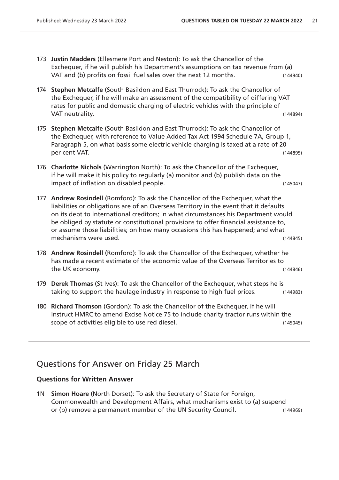- 173 **Justin Madders** (Ellesmere Port and Neston): To ask the Chancellor of the Exchequer, if he will publish his Department's assumptions on tax revenue from (a) VAT and (b) profits on fossil fuel sales over the next 12 months. (144940)
- 174 **Stephen Metcalfe** (South Basildon and East Thurrock): To ask the Chancellor of the Exchequer, if he will make an assessment of the compatibility of differing VAT rates for public and domestic charging of electric vehicles with the principle of VAT neutrality. (144894)
- 175 **Stephen Metcalfe** (South Basildon and East Thurrock): To ask the Chancellor of the Exchequer, with reference to Value Added Tax Act 1994 Schedule 7A, Group 1, Paragraph 5, on what basis some electric vehicle charging is taxed at a rate of 20 per cent VAT. (144895)
- 176 **Charlotte Nichols** (Warrington North): To ask the Chancellor of the Exchequer, if he will make it his policy to regularly (a) monitor and (b) publish data on the impact of inflation on disabled people. The same of the control of the control of the control of the control o
- 177 **Andrew Rosindell** (Romford): To ask the Chancellor of the Exchequer, what the liabilities or obligations are of an Overseas Territory in the event that it defaults on its debt to international creditors; in what circumstances his Department would be obliged by statute or constitutional provisions to offer financial assistance to, or assume those liabilities; on how many occasions this has happened; and what mechanisms were used. (144845)
- 178 **Andrew Rosindell** (Romford): To ask the Chancellor of the Exchequer, whether he has made a recent estimate of the economic value of the Overseas Territories to the UK economy. (144846)
- 179 **Derek Thomas** (St Ives): To ask the Chancellor of the Exchequer, what steps he is taking to support the haulage industry in response to high fuel prices. (144983)
- 180 **Richard Thomson** (Gordon): To ask the Chancellor of the Exchequer, if he will instruct HMRC to amend Excise Notice 75 to include charity tractor runs within the scope of activities eligible to use red diesel. (145045)

### Questions for Answer on Friday 25 March

#### **Questions for Written Answer**

1N **Simon Hoare** (North Dorset): To ask the Secretary of State for Foreign, Commonwealth and Development Affairs, what mechanisms exist to (a) suspend or (b) remove a permanent member of the UN Security Council. (144969)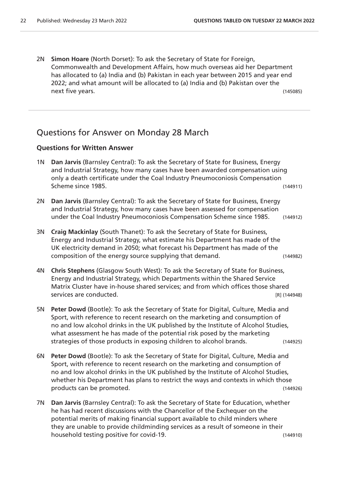2N **Simon Hoare** (North Dorset): To ask the Secretary of State for Foreign, Commonwealth and Development Affairs, how much overseas aid her Department has allocated to (a) India and (b) Pakistan in each year between 2015 and year end 2022; and what amount will be allocated to (a) India and (b) Pakistan over the next five years. (145085)

# Questions for Answer on Monday 28 March

- 1N **Dan Jarvis** (Barnsley Central): To ask the Secretary of State for Business, Energy and Industrial Strategy, how many cases have been awarded compensation using only a death certificate under the Coal Industry Pneumoconiosis Compensation Scheme since 1985. (144911)
- 2N **Dan Jarvis** (Barnsley Central): To ask the Secretary of State for Business, Energy and Industrial Strategy, how many cases have been assessed for compensation under the Coal Industry Pneumoconiosis Compensation Scheme since 1985. (144912)
- 3N **Craig Mackinlay** (South Thanet): To ask the Secretary of State for Business, Energy and Industrial Strategy, what estimate his Department has made of the UK electricity demand in 2050; what forecast his Department has made of the composition of the energy source supplying that demand. (144982)
- 4N **Chris Stephens** (Glasgow South West): To ask the Secretary of State for Business, Energy and Industrial Strategy, which Departments within the Shared Service Matrix Cluster have in-house shared services; and from which offices those shared services are conducted. The services are conducted.
- 5N **Peter Dowd** (Bootle): To ask the Secretary of State for Digital, Culture, Media and Sport, with reference to recent research on the marketing and consumption of no and low alcohol drinks in the UK published by the Institute of Alcohol Studies, what assessment he has made of the potential risk posed by the marketing strategies of those products in exposing children to alcohol brands. (144925)
- 6N **Peter Dowd** (Bootle): To ask the Secretary of State for Digital, Culture, Media and Sport, with reference to recent research on the marketing and consumption of no and low alcohol drinks in the UK published by the Institute of Alcohol Studies, whether his Department has plans to restrict the ways and contexts in which those products can be promoted. (144926)
- 7N **Dan Jarvis** (Barnsley Central): To ask the Secretary of State for Education, whether he has had recent discussions with the Chancellor of the Exchequer on the potential merits of making financial support available to child minders where they are unable to provide childminding services as a result of someone in their household testing positive for covid-19. (144910)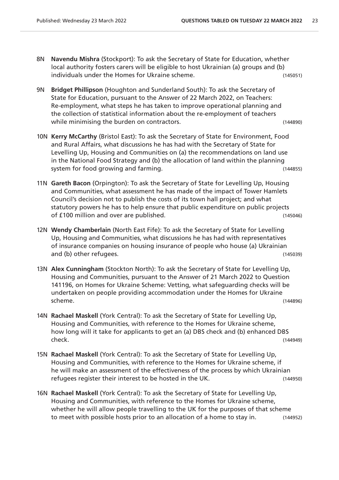- 8N **Navendu Mishra** (Stockport): To ask the Secretary of State for Education, whether local authority fosters carers will be eligible to host Ukrainian (a) groups and (b) individuals under the Homes for Ukraine scheme. (145051)
- 9N **Bridget Phillipson** (Houghton and Sunderland South): To ask the Secretary of State for Education, pursuant to the Answer of 22 March 2022, on Teachers: Re-employment, what steps he has taken to improve operational planning and the collection of statistical information about the re-employment of teachers while minimising the burden on contractors. The contractors of the contractors of the contractors of the contractors.
- 10N **Kerry McCarthy** (Bristol East): To ask the Secretary of State for Environment, Food and Rural Affairs, what discussions he has had with the Secretary of State for Levelling Up, Housing and Communities on (a) the recommendations on land use in the National Food Strategy and (b) the allocation of land within the planning system for food growing and farming.
- 11N **Gareth Bacon** (Orpington): To ask the Secretary of State for Levelling Up, Housing and Communities, what assessment he has made of the impact of Tower Hamlets Council's decision not to publish the costs of its town hall project; and what statutory powers he has to help ensure that public expenditure on public projects of £100 million and over are published. (145046)
- 12N **Wendy Chamberlain** (North East Fife): To ask the Secretary of State for Levelling Up, Housing and Communities, what discussions he has had with representatives of insurance companies on housing insurance of people who house (a) Ukrainian and (b) other refugees. (145039)
- 13N **Alex Cunningham** (Stockton North): To ask the Secretary of State for Levelling Up, Housing and Communities, pursuant to the Answer of 21 March 2022 to Question 141196, on Homes for Ukraine Scheme: Vetting, what safeguarding checks will be undertaken on people providing accommodation under the Homes for Ukraine scheme. (144896)
- 14N **Rachael Maskell** (York Central): To ask the Secretary of State for Levelling Up, Housing and Communities, with reference to the Homes for Ukraine scheme, how long will it take for applicants to get an (a) DBS check and (b) enhanced DBS check. (144949)
- 15N **Rachael Maskell** (York Central): To ask the Secretary of State for Levelling Up, Housing and Communities, with reference to the Homes for Ukraine scheme, if he will make an assessment of the effectiveness of the process by which Ukrainian refugees register their interest to be hosted in the UK. (144950)
- 16N **Rachael Maskell** (York Central): To ask the Secretary of State for Levelling Up, Housing and Communities, with reference to the Homes for Ukraine scheme, whether he will allow people travelling to the UK for the purposes of that scheme to meet with possible hosts prior to an allocation of a home to stay in. (144952)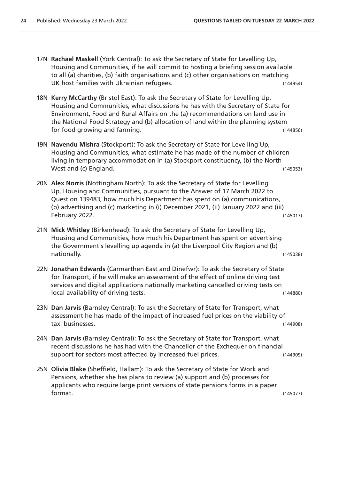- 17N **Rachael Maskell** (York Central): To ask the Secretary of State for Levelling Up, Housing and Communities, if he will commit to hosting a briefing session available to all (a) charities, (b) faith organisations and (c) other organisations on matching UK host families with Ukrainian refugees. (144954)
- 18N **Kerry McCarthy** (Bristol East): To ask the Secretary of State for Levelling Up, Housing and Communities, what discussions he has with the Secretary of State for Environment, Food and Rural Affairs on the (a) recommendations on land use in the National Food Strategy and (b) allocation of land within the planning system for food growing and farming. The same state of the state of the state (144856)
- 19N **Navendu Mishra** (Stockport): To ask the Secretary of State for Levelling Up, Housing and Communities, what estimate he has made of the number of children living in temporary accommodation in (a) Stockport constituency, (b) the North West and (c) England. (145053)
- 20N **Alex Norris** (Nottingham North): To ask the Secretary of State for Levelling Up, Housing and Communities, pursuant to the Answer of 17 March 2022 to Question 139483, how much his Department has spent on (a) communications, (b) advertising and (c) marketing in (i) December 2021, (ii) January 2022 and (iii) February 2022. (145017)
- 21N **Mick Whitley** (Birkenhead): To ask the Secretary of State for Levelling Up, Housing and Communities, how much his Department has spent on advertising the Government's levelling up agenda in (a) the Liverpool City Region and (b) nationally. (145038)
- 22N **Jonathan Edwards** (Carmarthen East and Dinefwr): To ask the Secretary of State for Transport, if he will make an assessment of the effect of online driving test services and digital applications nationally marketing cancelled driving tests on local availability of driving tests. (144880)
- 23N **Dan Jarvis** (Barnsley Central): To ask the Secretary of State for Transport, what assessment he has made of the impact of increased fuel prices on the viability of taxi businesses. (144908)
- 24N **Dan Jarvis** (Barnsley Central): To ask the Secretary of State for Transport, what recent discussions he has had with the Chancellor of the Exchequer on financial support for sectors most affected by increased fuel prices. (144909)
- 25N **Olivia Blake** (Sheffield, Hallam): To ask the Secretary of State for Work and Pensions, whether she has plans to review (a) support and (b) processes for applicants who require large print versions of state pensions forms in a paper format. (145077)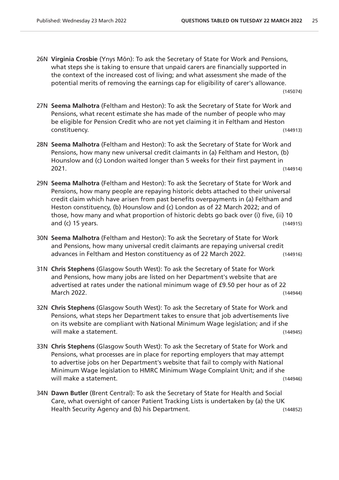26N **Virginia Crosbie** (Ynys Môn): To ask the Secretary of State for Work and Pensions, what steps she is taking to ensure that unpaid carers are financially supported in the context of the increased cost of living; and what assessment she made of the potential merits of removing the earnings cap for eligibility of carer's allowance.

(145074)

- 27N **Seema Malhotra** (Feltham and Heston): To ask the Secretary of State for Work and Pensions, what recent estimate she has made of the number of people who may be eligible for Pension Credit who are not yet claiming it in Feltham and Heston constituency. (144913)
- 28N **Seema Malhotra** (Feltham and Heston): To ask the Secretary of State for Work and Pensions, how many new universal credit claimants in (a) Feltham and Heston, (b) Hounslow and (c) London waited longer than 5 weeks for their first payment in 2021. (144914)
- 29N **Seema Malhotra** (Feltham and Heston): To ask the Secretary of State for Work and Pensions, how many people are repaying historic debts attached to their universal credit claim which have arisen from past benefits overpayments in (a) Feltham and Heston constituency, (b) Hounslow and (c) London as of 22 March 2022; and of those, how many and what proportion of historic debts go back over (i) five, (ii) 10 and (c) 15 years. (144915)
- 30N **Seema Malhotra** (Feltham and Heston): To ask the Secretary of State for Work and Pensions, how many universal credit claimants are repaying universal credit advances in Feltham and Heston constituency as of 22 March 2022. (144916)
- 31N **Chris Stephens** (Glasgow South West): To ask the Secretary of State for Work and Pensions, how many jobs are listed on her Department's website that are advertised at rates under the national minimum wage of £9.50 per hour as of 22 March 2022. (144944)
- 32N **Chris Stephens** (Glasgow South West): To ask the Secretary of State for Work and Pensions, what steps her Department takes to ensure that job advertisements live on its website are compliant with National Minimum Wage legislation; and if she will make a statement. (144945)
- 33N **Chris Stephens** (Glasgow South West): To ask the Secretary of State for Work and Pensions, what processes are in place for reporting employers that may attempt to advertise jobs on her Department's website that fail to comply with National Minimum Wage legislation to HMRC Minimum Wage Complaint Unit; and if she will make a statement. (144946)
- 34N **Dawn Butler** (Brent Central): To ask the Secretary of State for Health and Social Care, what oversight of cancer Patient Tracking Lists is undertaken by (a) the UK Health Security Agency and (b) his Department. (144852)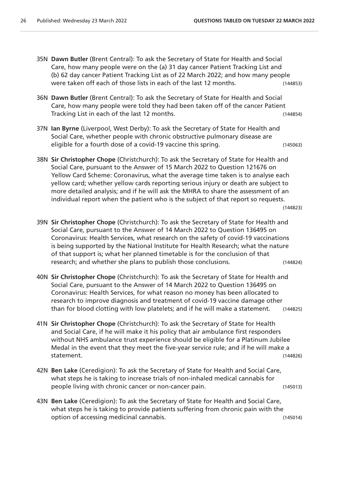- 35N **Dawn Butler** (Brent Central): To ask the Secretary of State for Health and Social Care, how many people were on the (a) 31 day cancer Patient Tracking List and (b) 62 day cancer Patient Tracking List as of 22 March 2022; and how many people were taken off each of those lists in each of the last 12 months. (144853)
- 36N **Dawn Butler** (Brent Central): To ask the Secretary of State for Health and Social Care, how many people were told they had been taken off of the cancer Patient Tracking List in each of the last 12 months. (144854)
- 37N **Ian Byrne** (Liverpool, West Derby): To ask the Secretary of State for Health and Social Care, whether people with chronic obstructive pulmonary disease are eligible for a fourth dose of a covid-19 vaccine this spring. (145063)
- 38N **Sir Christopher Chope** (Christchurch): To ask the Secretary of State for Health and Social Care, pursuant to the Answer of 15 March 2022 to Question 121676 on Yellow Card Scheme: Coronavirus, what the average time taken is to analyse each yellow card; whether yellow cards reporting serious injury or death are subject to more detailed analysis; and if he will ask the MHRA to share the assessment of an individual report when the patient who is the subject of that report so requests.

```
(144823)
```
- 39N **Sir Christopher Chope** (Christchurch): To ask the Secretary of State for Health and Social Care, pursuant to the Answer of 14 March 2022 to Question 136495 on Coronavirus: Health Services, what research on the safety of covid-19 vaccinations is being supported by the National Institute for Health Research; what the nature of that support is; what her planned timetable is for the conclusion of that research; and whether she plans to publish those conclusions. (144824)
- 40N **Sir Christopher Chope** (Christchurch): To ask the Secretary of State for Health and Social Care, pursuant to the Answer of 14 March 2022 to Question 136495 on Coronavirus: Health Services, for what reason no money has been allocated to research to improve diagnosis and treatment of covid-19 vaccine damage other than for blood clotting with low platelets; and if he will make a statement. (144825)
- 41N **Sir Christopher Chope** (Christchurch): To ask the Secretary of State for Health and Social Care, if he will make it his policy that air ambulance first responders without NHS ambulance trust experience should be eligible for a Platinum Jubilee Medal in the event that they meet the five-year service rule; and if he will make a statement. (144826)
- 42N **Ben Lake** (Ceredigion): To ask the Secretary of State for Health and Social Care, what steps he is taking to increase trials of non-inhaled medical cannabis for people living with chronic cancer or non-cancer pain. (145013)
- 43N **Ben Lake** (Ceredigion): To ask the Secretary of State for Health and Social Care, what steps he is taking to provide patients suffering from chronic pain with the option of accessing medicinal cannabis. (145014)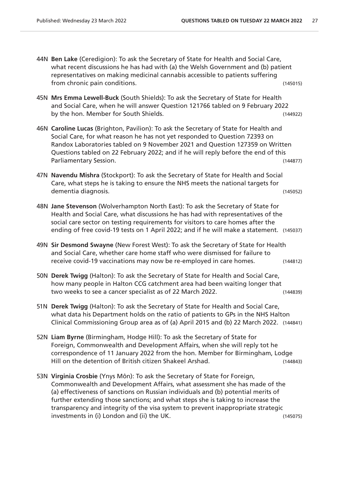- 44N **Ben Lake** (Ceredigion): To ask the Secretary of State for Health and Social Care, what recent discussions he has had with (a) the Welsh Government and (b) patient representatives on making medicinal cannabis accessible to patients suffering from chronic pain conditions. (145015)
- 45N **Mrs Emma Lewell-Buck** (South Shields): To ask the Secretary of State for Health and Social Care, when he will answer Question 121766 tabled on 9 February 2022 by the hon. Member for South Shields. (144922)
- 46N **Caroline Lucas** (Brighton, Pavilion): To ask the Secretary of State for Health and Social Care, for what reason he has not yet responded to Question 72393 on Randox Laboratories tabled on 9 November 2021 and Question 127359 on Written Questions tabled on 22 February 2022; and if he will reply before the end of this Parliamentary Session. (144877)
- 47N **Navendu Mishra** (Stockport): To ask the Secretary of State for Health and Social Care, what steps he is taking to ensure the NHS meets the national targets for dementia diagnosis. (145052)
- 48N **Jane Stevenson** (Wolverhampton North East): To ask the Secretary of State for Health and Social Care, what discussions he has had with representatives of the social care sector on testing requirements for visitors to care homes after the ending of free covid-19 tests on 1 April 2022; and if he will make a statement. (145037)
- 49N **Sir Desmond Swayne** (New Forest West): To ask the Secretary of State for Health and Social Care, whether care home staff who were dismissed for failure to receive covid-19 vaccinations may now be re-employed in care homes. (144812)
- 50N **Derek Twigg** (Halton): To ask the Secretary of State for Health and Social Care, how many people in Halton CCG catchment area had been waiting longer that two weeks to see a cancer specialist as of 22 March 2022. (144839)
- 51N **Derek Twigg** (Halton): To ask the Secretary of State for Health and Social Care, what data his Department holds on the ratio of patients to GPs in the NHS Halton Clinical Commissioning Group area as of (a) April 2015 and (b) 22 March 2022. (144841)
- 52N **Liam Byrne** (Birmingham, Hodge Hill): To ask the Secretary of State for Foreign, Commonwealth and Development Affairs, when she will reply tot he correspondence of 11 January 2022 from the hon. Member for Birmingham, Lodge Hill on the detention of British citizen Shakeel Arshad. (144843)
- 53N **Virginia Crosbie** (Ynys Môn): To ask the Secretary of State for Foreign, Commonwealth and Development Affairs, what assessment she has made of the (a) effectiveness of sanctions on Russian individuals and (b) potential merits of further extending those sanctions; and what steps she is taking to increase the transparency and integrity of the visa system to prevent inappropriate strategic investments in (i) London and (ii) the UK. (145075)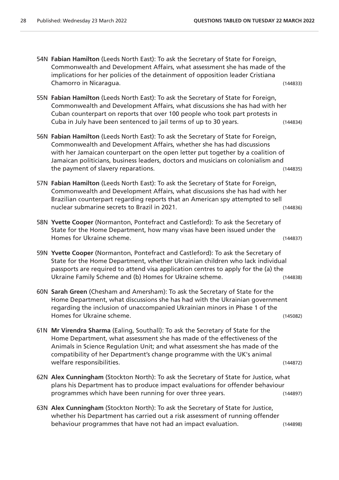- 54N **Fabian Hamilton** (Leeds North East): To ask the Secretary of State for Foreign, Commonwealth and Development Affairs, what assessment she has made of the implications for her policies of the detainment of opposition leader Cristiana Chamorro in Nicaragua. (144833) 55N **Fabian Hamilton** (Leeds North East): To ask the Secretary of State for Foreign, Commonwealth and Development Affairs, what discussions she has had with her Cuban counterpart on reports that over 100 people who took part protests in Cuba in July have been sentenced to jail terms of up to 30 years. (144834) 56N **Fabian Hamilton** (Leeds North East): To ask the Secretary of State for Foreign, Commonwealth and Development Affairs, whether she has had discussions with her Jamaican counterpart on the open letter put together by a coalition of Jamaican politicians, business leaders, doctors and musicians on colonialism and the payment of slavery reparations. (144835) 57N **Fabian Hamilton** (Leeds North East): To ask the Secretary of State for Foreign, Commonwealth and Development Affairs, what discussions she has had with her Brazilian counterpart regarding reports that an American spy attempted to sell nuclear submarine secrets to Brazil in 2021. (144836) 58N **Yvette Cooper** (Normanton, Pontefract and Castleford): To ask the Secretary of State for the Home Department, how many visas have been issued under the Homes for Ukraine scheme. (144837) 59N **Yvette Cooper** (Normanton, Pontefract and Castleford): To ask the Secretary of State for the Home Department, whether Ukrainian children who lack individual passports are required to attend visa application centres to apply for the (a) the Ukraine Family Scheme and (b) Homes for Ukraine scheme. (144838) 60N **Sarah Green** (Chesham and Amersham): To ask the Secretary of State for the Home Department, what discussions she has had with the Ukrainian government regarding the inclusion of unaccompanied Ukrainian minors in Phase 1 of the Homes for Ukraine scheme. (145082) 61N **Mr Virendra Sharma** (Ealing, Southall): To ask the Secretary of State for the Home Department, what assessment she has made of the effectiveness of the Animals in Science Regulation Unit; and what assessment she has made of the compatibility of her Department's change programme with the UK's animal welfare responsibilities. (144872) 62N **Alex Cunningham** (Stockton North): To ask the Secretary of State for Justice, what plans his Department has to produce impact evaluations for offender behaviour programmes which have been running for over three years. (144897)
- 63N **Alex Cunningham** (Stockton North): To ask the Secretary of State for Justice, whether his Department has carried out a risk assessment of running offender behaviour programmes that have not had an impact evaluation. (144898)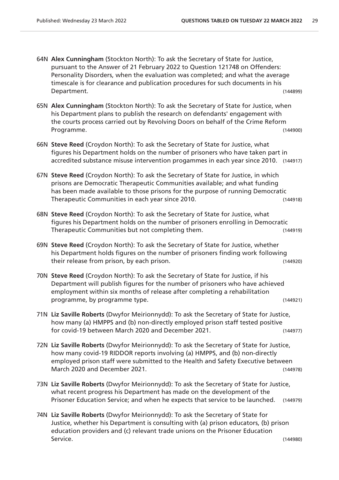- 64N **Alex Cunningham** (Stockton North): To ask the Secretary of State for Justice, pursuant to the Answer of 21 February 2022 to Question 121748 on Offenders: Personality Disorders, when the evaluation was completed; and what the average timescale is for clearance and publication procedures for such documents in his Department. (144899)
- 65N **Alex Cunningham** (Stockton North): To ask the Secretary of State for Justice, when his Department plans to publish the research on defendants' engagement with the courts process carried out by Revolving Doors on behalf of the Crime Reform Programme. (144900)
- 66N **Steve Reed** (Croydon North): To ask the Secretary of State for Justice, what figures his Department holds on the number of prisoners who have taken part in accredited substance misuse intervention progammes in each year since 2010. (144917)
- 67N **Steve Reed** (Croydon North): To ask the Secretary of State for Justice, in which prisons are Democratic Therapeutic Communities available; and what funding has been made available to those prisons for the purpose of running Democratic Therapeutic Communities in each year since 2010. (144918)
- 68N **Steve Reed** (Croydon North): To ask the Secretary of State for Justice, what figures his Department holds on the number of prisoners enrolling in Democratic Therapeutic Communities but not completing them. (144919)
- 69N **Steve Reed** (Croydon North): To ask the Secretary of State for Justice, whether his Department holds figures on the number of prisoners finding work following their release from prison, by each prison. (144920)
- 70N **Steve Reed** (Croydon North): To ask the Secretary of State for Justice, if his Department will publish figures for the number of prisoners who have achieved employment within six months of release after completing a rehabilitation programme, by programme type. (144921)
- 71N **Liz Saville Roberts** (Dwyfor Meirionnydd): To ask the Secretary of State for Justice, how many (a) HMPPS and (b) non-directly employed prison staff tested positive for covid-19 between March 2020 and December 2021. (144977)
- 72N **Liz Saville Roberts** (Dwyfor Meirionnydd): To ask the Secretary of State for Justice, how many covid-19 RIDDOR reports involving (a) HMPPS, and (b) non-directly employed prison staff were submitted to the Health and Safety Executive between March 2020 and December 2021. (144978)
- 73N **Liz Saville Roberts** (Dwyfor Meirionnydd): To ask the Secretary of State for Justice, what recent progress his Department has made on the development of the Prisoner Education Service; and when he expects that service to be launched. (144979)
- 74N **Liz Saville Roberts** (Dwyfor Meirionnydd): To ask the Secretary of State for Justice, whether his Department is consulting with (a) prison educators, (b) prison education providers and (c) relevant trade unions on the Prisoner Education Service. (144980)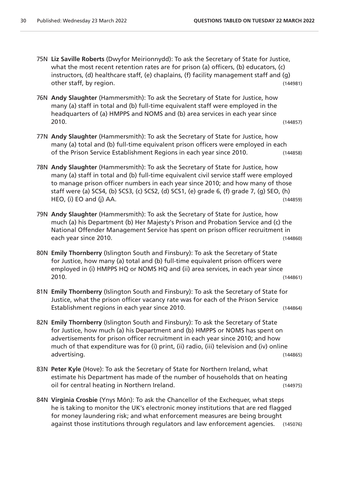- 75N **Liz Saville Roberts** (Dwyfor Meirionnydd): To ask the Secretary of State for Justice, what the most recent retention rates are for prison (a) officers, (b) educators, (c) instructors, (d) healthcare staff, (e) chaplains, (f) facility management staff and (g) other staff, by region. (144981)
- 76N **Andy Slaughter** (Hammersmith): To ask the Secretary of State for Justice, how many (a) staff in total and (b) full-time equivalent staff were employed in the headquarters of (a) HMPPS and NOMS and (b) area services in each year since 2010. (144857)
- 77N **Andy Slaughter** (Hammersmith): To ask the Secretary of State for Justice, how many (a) total and (b) full-time equivalent prison officers were employed in each of the Prison Service Establishment Regions in each year since 2010. (144858)
- 78N **Andy Slaughter** (Hammersmith): To ask the Secretary of State for Justice, how many (a) staff in total and (b) full-time equivalent civil service staff were employed to manage prison officer numbers in each year since 2010; and how many of those staff were (a) SCS4, (b) SCS3, (c) SCS2, (d) SCS1, (e) grade 6, (f) grade 7, (g) SEO, (h) HEO, (i) EO and (j) AA. (144859)
- 79N **Andy Slaughter** (Hammersmith): To ask the Secretary of State for Justice, how much (a) his Department (b) Her Majesty's Prison and Probation Service and (c) the National Offender Management Service has spent on prison officer recruitment in each year since 2010. (144860)
- 80N **Emily Thornberry** (Islington South and Finsbury): To ask the Secretary of State for Justice, how many (a) total and (b) full-time equivalent prison officers were employed in (i) HMPPS HQ or NOMS HQ and (ii) area services, in each year since 2010. (144861)
- 81N **Emily Thornberry** (Islington South and Finsbury): To ask the Secretary of State for Justice, what the prison officer vacancy rate was for each of the Prison Service Establishment regions in each year since 2010. (144864)
- 82N **Emily Thornberry** (Islington South and Finsbury): To ask the Secretary of State for Justice, how much (a) his Department and (b) HMPPS or NOMS has spent on advertisements for prison officer recruitment in each year since 2010; and how much of that expenditure was for (i) print, (ii) radio, (iii) television and (iv) online advertising. (144865)
- 83N **Peter Kyle** (Hove): To ask the Secretary of State for Northern Ireland, what estimate his Department has made of the number of households that on heating oil for central heating in Northern Ireland. (144975)
- 84N **Virginia Crosbie** (Ynys Môn): To ask the Chancellor of the Exchequer, what steps he is taking to monitor the UK's electronic money institutions that are red flagged for money laundering risk; and what enforcement measures are being brought against those institutions through regulators and law enforcement agencies. (145076)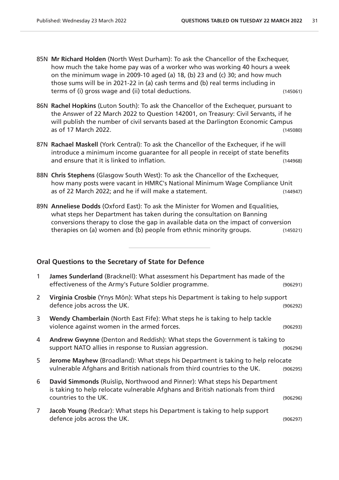- 85N **Mr Richard Holden** (North West Durham): To ask the Chancellor of the Exchequer, how much the take home pay was of a worker who was working 40 hours a week on the minimum wage in 2009-10 aged (a) 18, (b) 23 and (c) 30; and how much those sums will be in 2021-22 in (a) cash terms and (b) real terms including in terms of (i) gross wage and (ii) total deductions. (145061)
- 86N **Rachel Hopkins** (Luton South): To ask the Chancellor of the Exchequer, pursuant to the Answer of 22 March 2022 to Question 142001, on Treasury: Civil Servants, if he will publish the number of civil servants based at the Darlington Economic Campus as of 17 March 2022. (145080)
- 87N **Rachael Maskell** (York Central): To ask the Chancellor of the Exchequer, if he will introduce a minimum income guarantee for all people in receipt of state benefits and ensure that it is linked to inflation. (144968)
- 88N **Chris Stephens** (Glasgow South West): To ask the Chancellor of the Exchequer, how many posts were vacant in HMRC's National Minimum Wage Compliance Unit as of 22 March 2022; and he if will make a statement. (144947)
- 89N **Anneliese Dodds** (Oxford East): To ask the Minister for Women and Equalities, what steps her Department has taken during the consultation on Banning conversions therapy to close the gap in available data on the impact of conversion therapies on (a) women and (b) people from ethnic minority groups. (145021)

#### **Oral Questions to the Secretary of State for Defence**

| 1              | James Sunderland (Bracknell): What assessment his Department has made of the<br>effectiveness of the Army's Future Soldier programme.                                               | (906291) |
|----------------|-------------------------------------------------------------------------------------------------------------------------------------------------------------------------------------|----------|
| 2              | Virginia Crosbie (Ynys Môn): What steps his Department is taking to help support<br>defence jobs across the UK.                                                                     | (906292) |
| 3              | Wendy Chamberlain (North East Fife): What steps he is taking to help tackle<br>violence against women in the armed forces.                                                          | (906293) |
| 4              | Andrew Gwynne (Denton and Reddish): What steps the Government is taking to<br>support NATO allies in response to Russian aggression.                                                | (906294) |
| 5              | Jerome Mayhew (Broadland): What steps his Department is taking to help relocate<br>vulnerable Afghans and British nationals from third countries to the UK.                         | (906295) |
| 6              | David Simmonds (Ruislip, Northwood and Pinner): What steps his Department<br>is taking to help relocate vulnerable Afghans and British nationals from third<br>countries to the UK. | (906296) |
| $\overline{7}$ | Jacob Young (Redcar): What steps his Department is taking to help support<br>defence jobs across the UK.                                                                            | (906297) |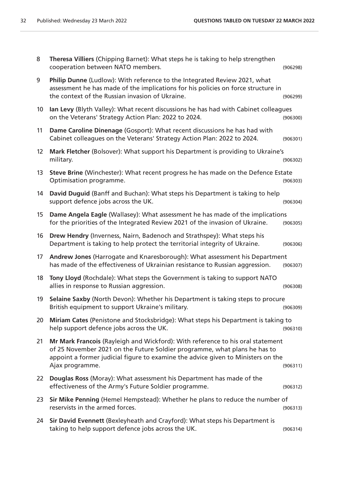| 8               | Theresa Villiers (Chipping Barnet): What steps he is taking to help strengthen<br>cooperation between NATO members.                                                                                                                                                | (906298) |
|-----------------|--------------------------------------------------------------------------------------------------------------------------------------------------------------------------------------------------------------------------------------------------------------------|----------|
| 9               | Philip Dunne (Ludlow): With reference to the Integrated Review 2021, what<br>assessment he has made of the implications for his policies on force structure in<br>the context of the Russian invasion of Ukraine.                                                  | (906299) |
| 10 <sup>°</sup> | Ian Levy (Blyth Valley): What recent discussions he has had with Cabinet colleagues<br>on the Veterans' Strategy Action Plan: 2022 to 2024.                                                                                                                        | (906300) |
| 11              | Dame Caroline Dinenage (Gosport): What recent discussions he has had with<br>Cabinet colleagues on the Veterans' Strategy Action Plan: 2022 to 2024.                                                                                                               | (906301) |
| 12              | Mark Fletcher (Bolsover): What support his Department is providing to Ukraine's<br>military.                                                                                                                                                                       | (906302) |
| 13              | Steve Brine (Winchester): What recent progress he has made on the Defence Estate<br>Optimisation programme.                                                                                                                                                        | (906303) |
| 14              | David Duguid (Banff and Buchan): What steps his Department is taking to help<br>support defence jobs across the UK.                                                                                                                                                | (906304) |
| 15              | Dame Angela Eagle (Wallasey): What assessment he has made of the implications<br>for the priorities of the Integrated Review 2021 of the invasion of Ukraine.                                                                                                      | (906305) |
| 16              | Drew Hendry (Inverness, Nairn, Badenoch and Strathspey): What steps his<br>Department is taking to help protect the territorial integrity of Ukraine.                                                                                                              | (906306) |
| 17              | Andrew Jones (Harrogate and Knaresborough): What assessment his Department<br>has made of the effectiveness of Ukrainian resistance to Russian aggression.                                                                                                         | (906307) |
| 18              | Tony Lloyd (Rochdale): What steps the Government is taking to support NATO<br>allies in response to Russian aggression.                                                                                                                                            | (906308) |
| 19              | Selaine Saxby (North Devon): Whether his Department is taking steps to procure<br>British equipment to support Ukraine's military.                                                                                                                                 | (906309) |
| 20              | Miriam Cates (Penistone and Stocksbridge): What steps his Department is taking to<br>help support defence jobs across the UK.                                                                                                                                      | (906310) |
| 21              | Mr Mark Francois (Rayleigh and Wickford): With reference to his oral statement<br>of 25 November 2021 on the Future Soldier programme, what plans he has to<br>appoint a former judicial figure to examine the advice given to Ministers on the<br>Ajax programme. | (906311) |
| 22              | Douglas Ross (Moray): What assessment his Department has made of the<br>effectiveness of the Army's Future Soldier programme.                                                                                                                                      | (906312) |
| 23              | Sir Mike Penning (Hemel Hempstead): Whether he plans to reduce the number of<br>reservists in the armed forces.                                                                                                                                                    | (906313) |
| 24              | Sir David Evennett (Bexleyheath and Crayford): What steps his Department is<br>taking to help support defence jobs across the UK.                                                                                                                                  | (906314) |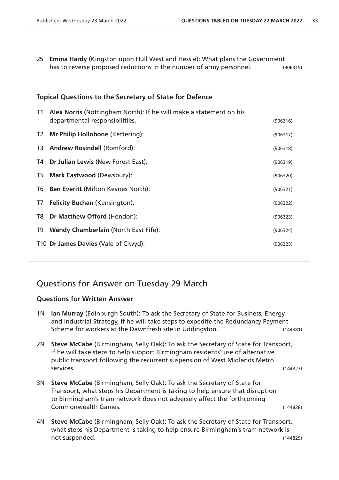25 **Emma Hardy** (Kingston upon Hull West and Hessle): What plans the Government has to reverse proposed reductions in the number of army personnel. (906315)

| <b>Topical Questions to the Secretary of State for Defence</b> |                                                                                                      |          |  |  |
|----------------------------------------------------------------|------------------------------------------------------------------------------------------------------|----------|--|--|
| T1                                                             | Alex Norris (Nottingham North): If he will make a statement on his<br>departmental responsibilities. | (906316) |  |  |
| T <sub>2</sub>                                                 | Mr Philip Hollobone (Kettering):                                                                     | (906317) |  |  |
| T3                                                             | <b>Andrew Rosindell (Romford):</b>                                                                   | (906318) |  |  |
| T4                                                             | Dr Julian Lewis (New Forest East):                                                                   | (906319) |  |  |
| T <sub>5</sub>                                                 | Mark Eastwood (Dewsbury):                                                                            | (906320) |  |  |
| T <sub>6</sub>                                                 | <b>Ben Everitt (Milton Keynes North):</b>                                                            | (906321) |  |  |
| T7                                                             | <b>Felicity Buchan (Kensington):</b>                                                                 | (906322) |  |  |
| T <sub>8</sub>                                                 | Dr Matthew Offord (Hendon):                                                                          | (906323) |  |  |
| T9                                                             | <b>Wendy Chamberlain (North East Fife):</b>                                                          | (906324) |  |  |
|                                                                | T10 Dr James Davies (Vale of Clwyd):                                                                 | (906325) |  |  |
|                                                                |                                                                                                      |          |  |  |

### Questions for Answer on Tuesday 29 March

- 1N **Ian Murray** (Edinburgh South): To ask the Secretary of State for Business, Energy and Industrial Strategy, if he will take steps to expedite the Redundancy Payment Scheme for workers at the Dawnfresh site in Uddingston. (144881)
- 2N **Steve McCabe** (Birmingham, Selly Oak): To ask the Secretary of State for Transport, if he will take steps to help support Birmingham residents' use of alternative public transport following the recurrent suspension of West Midlands Metro services. (144827)
- 3N **Steve McCabe** (Birmingham, Selly Oak): To ask the Secretary of State for Transport, what steps his Department is taking to help ensure that disruption to Birmingham's tram network does not adversely affect the forthcoming Commonwealth Games. (144828)
- 4N **Steve McCabe** (Birmingham, Selly Oak): To ask the Secretary of State for Transport, what steps his Department is taking to help ensure Birmingham's tram network is not suspended. (144829)